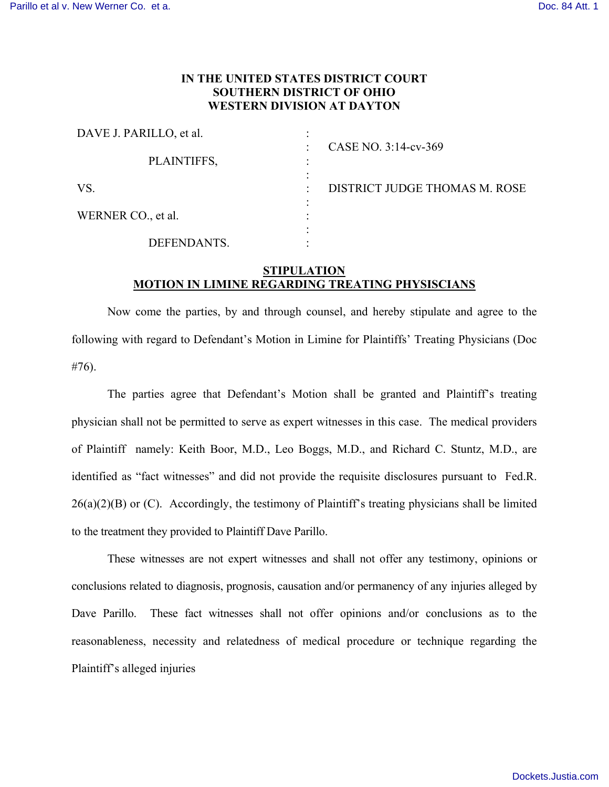## **IN THE UNITED STATES DISTRICT COURT SOUTHERN DISTRICT OF OHIO WESTERN DIVISION AT DAYTON**

| DAVE J. PARILLO, et al. |                               |
|-------------------------|-------------------------------|
| PLAINTIFFS,             | CASE NO. 3:14-cv-369          |
|                         |                               |
| VS.                     | DISTRICT JUDGE THOMAS M. ROSE |
|                         |                               |
| WERNER CO., et al.      |                               |
|                         |                               |
| DEFENDANTS.             |                               |

## **STIPULATION MOTION IN LIMINE REGARDING TREATING PHYSISCIANS**

 Now come the parties, by and through counsel, and hereby stipulate and agree to the following with regard to Defendant's Motion in Limine for Plaintiffs' Treating Physicians (Doc #76).

The parties agree that Defendant's Motion shall be granted and Plaintiff's treating physician shall not be permitted to serve as expert witnesses in this case. The medical providers of Plaintiff namely: Keith Boor, M.D., Leo Boggs, M.D., and Richard C. Stuntz, M.D., are identified as "fact witnesses" and did not provide the requisite disclosures pursuant to Fed.R.  $26(a)(2)(B)$  or (C). Accordingly, the testimony of Plaintiff's treating physicians shall be limited to the treatment they provided to Plaintiff Dave Parillo.

These witnesses are not expert witnesses and shall not offer any testimony, opinions or conclusions related to diagnosis, prognosis, causation and/or permanency of any injuries alleged by Dave Parillo. These fact witnesses shall not offer opinions and/or conclusions as to the reasonableness, necessity and relatedness of medical procedure or technique regarding the Plaintiff's alleged injuries